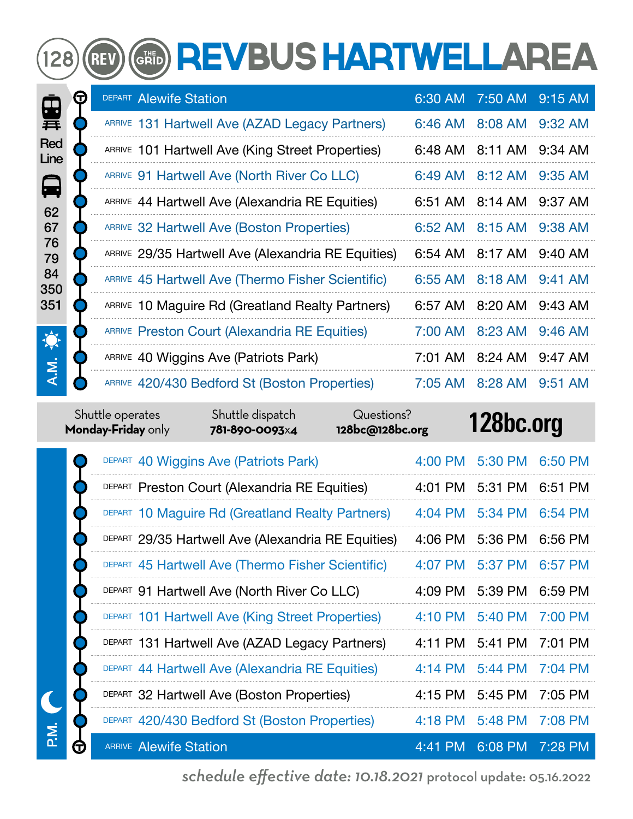# GRID REVBUS HARTWELLAREA

| P.                                                                        | т | <b>DEPART Alewife Station</b>                      | 6:30 AM   | 7:50 AM | 9:15 AM   |
|---------------------------------------------------------------------------|---|----------------------------------------------------|-----------|---------|-----------|
| 葺                                                                         |   | ARRIVE 131 Hartwell Ave (AZAD Legacy Partners)     | 6:46 AM   | 8:08 AM | $9:32$ AM |
| Red<br>Line<br>$\blacksquare$<br>62<br>67<br>76<br>79<br>84<br>350<br>351 |   | ARRIVE 101 Hartwell Ave (King Street Properties)   | 6:48 AM   | 8:11 AM | $9:34$ AM |
|                                                                           |   | ARRIVE 91 Hartwell Ave (North River Co LLC)        | 6:49 AM   | 8:12 AM | $9:35$ AM |
|                                                                           |   | ARRIVE 44 Hartwell Ave (Alexandria RE Equities)    | 6:51 AM   | 8:14 AM | 9:37 AM   |
|                                                                           |   | ARRIVE 32 Hartwell Ave (Boston Properties)         | $6:52$ AM | 8:15 AM | 9:38 AM   |
|                                                                           |   | ARRIVE 29/35 Hartwell Ave (Alexandria RE Equities) | 6:54 AM   | 8:17 AM | $9:40$ AM |
|                                                                           |   | ARRIVE 45 Hartwell Ave (Thermo Fisher Scientific)  | 6:55 AM   | 8:18 AM | $9:41$ AM |
|                                                                           |   | ARRIVE 10 Maguire Rd (Greatland Realty Partners)   | 6:57 AM   | 8:20 AM | $9:43$ AM |
| 食                                                                         |   | ARRIVE Preston Court (Alexandria RE Equities)      | 7:00 AM   | 8:23 AM | $9:46$ AM |
| Σ                                                                         |   | ARRIVE 40 Wiggins Ave (Patriots Park)              | 7:01 AM   | 8:24 AM | 9:47 AM   |
|                                                                           |   | ARRIVE 420/430 Bedford St (Boston Properties)      | 7:05 AM   | 8:28 AM | $9:51$ AM |

|            | Shuttle operates<br>Monday-Friday only | Shuttle dispatch<br>781-890-0093x4                 | Questions?<br>128bc@128bc.org |                   | 128bc.org |           |
|------------|----------------------------------------|----------------------------------------------------|-------------------------------|-------------------|-----------|-----------|
|            |                                        | DEPART 40 Wiggins Ave (Patriots Park)              |                               | 4:00 PM           | 5:30 PM   | 6:50 PM   |
|            |                                        | DEPART Preston Court (Alexandria RE Equities)      |                               | 4:01 PM           | 5:31 PM   | 6:51 PM   |
|            |                                        | DEPART 10 Maguire Rd (Greatland Realty Partners)   |                               | $4:04$ PM         | 5:34 PM   | $6:54$ PM |
|            |                                        | DEPART 29/35 Hartwell Ave (Alexandria RE Equities) |                               | 4:06 PM           | 5:36 PM   | 6:56 PM   |
|            |                                        | DEPART 45 Hartwell Ave (Thermo Fisher Scientific)  |                               | $4:07$ PM         | 5:37 PM   | 6:57 PM   |
|            |                                        | DEPART 91 Hartwell Ave (North River Co LLC)        |                               | 4:09 PM           | 5:39 PM   | $6:59$ PM |
|            |                                        | DEPART 101 Hartwell Ave (King Street Properties)   |                               | $4:10 \text{ PM}$ | 5:40 PM   | 7:00 PM   |
|            |                                        | DEPART 131 Hartwell Ave (AZAD Legacy Partners)     |                               | $4:11 \text{ PM}$ | 5:41 PM   | $7:01$ PM |
|            |                                        | DEPART 44 Hartwell Ave (Alexandria RE Equities)    |                               | $4:14$ PM         | 5:44 PM   | 7:04 PM   |
|            |                                        | DEPART 32 Hartwell Ave (Boston Properties)         |                               | 4:15 PM           | 5:45 PM   | 7:05 PM   |
|            |                                        | DEPART 420/430 Bedford St (Boston Properties)      |                               | $4:18$ PM         | 5:48 PM   | 7:08 PM   |
| $\bf \Phi$ | <b>ARRIVE Alewife Station</b>          |                                                    |                               | 4:41 PM           | 6:08 PM   | 7:28 PM   |

P.M.

 $(128)$ 

**REV** 

*schedule effective date: 10.18.2021* protocol update: 05.16.2022